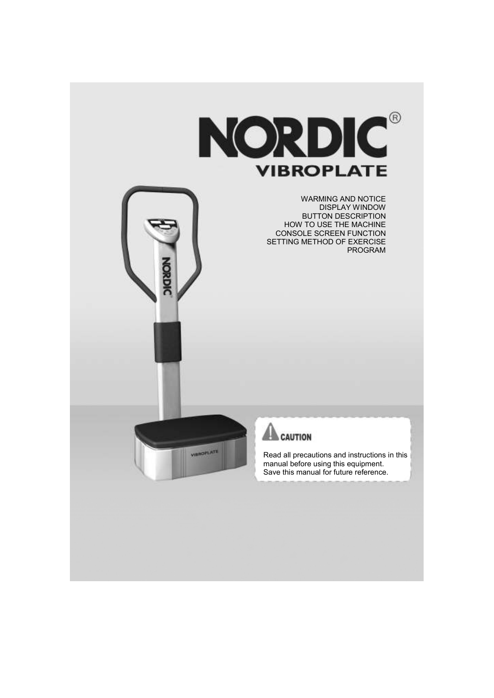



**VIRROPLATE** 

Read all precautions and instructions in this manual before using this equipment. Save this manual for future reference.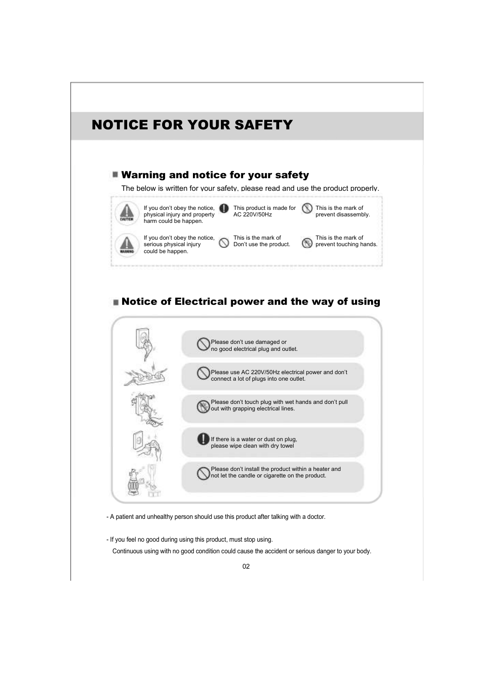# NOTICE FOR YOUR SAFETY

### **Warning and notice for your safety**

The below is written for your safety, please read and use the product properly.



# **Notice of Electrical power and the way of using**



- A patient and unhealthy person should use this product after talking with a doctor.

- If you feel no good during using this product, must stop using. Continuous using with no good condition could cause the accident or serious danger to your body.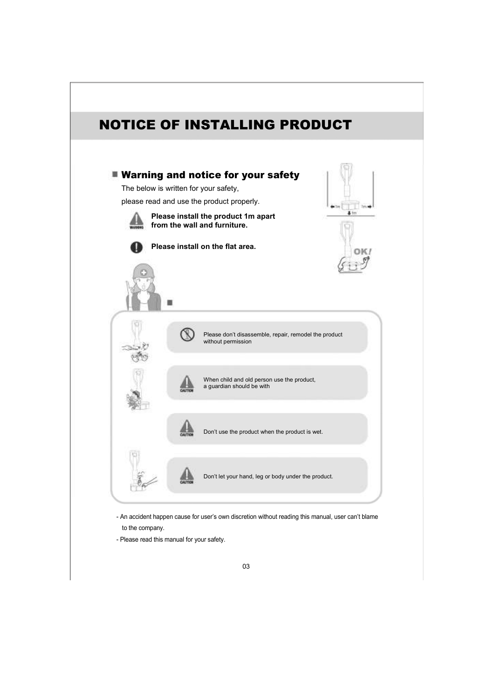

to the company.

- Please read this manual for your safety.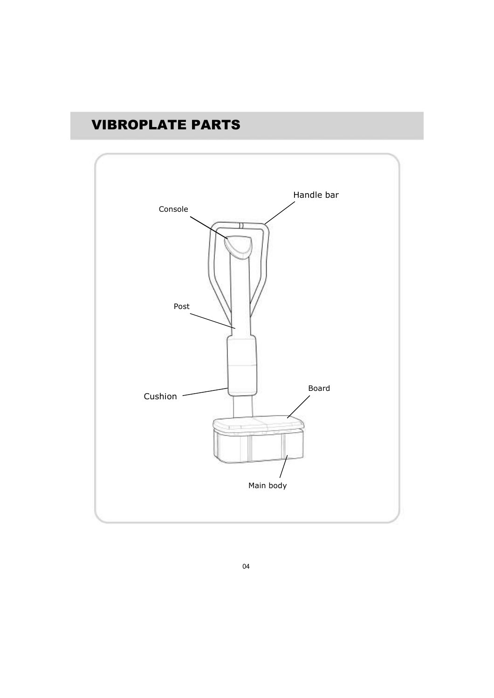# VIBROPLATE PARTS

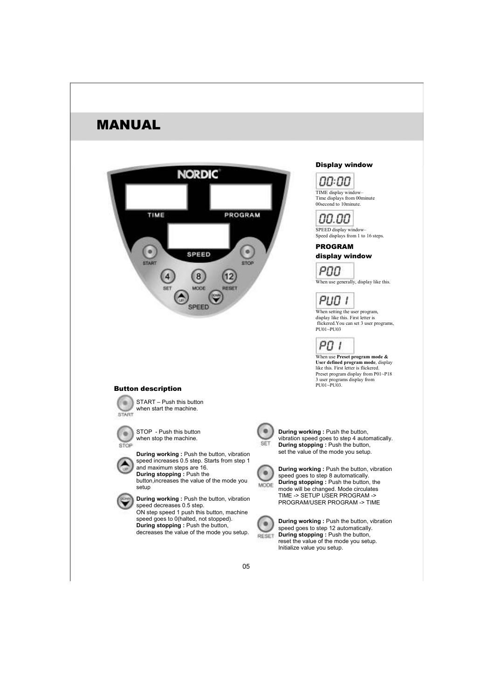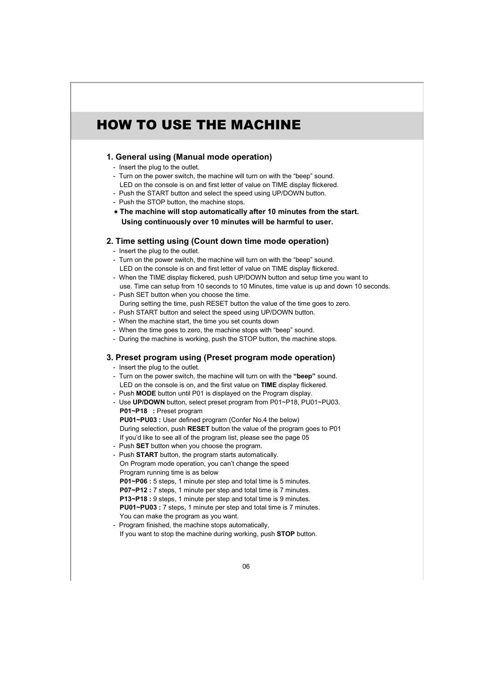# HOW TO USE THE MACHINE

#### 1. General using (Manual mode operation)

- Insert the plug to the outlet.
- Turn on the power switch, the machine will turn on with the "beep" sound. LED on the console is on and first letter of value on TIME display flickered.
- Push the START button and select the speed using UP/DOWN button.
- Push the STOP button, the machine stops.
- ∗ The machine will stop automatically after 10 minutes from the start. Using continuously over 10 minutes will be harmful to user.

#### 2. Time setting using (Count down time mode operation)

- Insert the plug to the outlet.
- Turn on the power switch, the machine will turn on with the "beep" sound. LED on the console is on and first letter of value on TIME display flickered.
- When the TIME display flickered, push UP/DOWN button and setup time you want to use. Time can setup from 10 seconds to 10 Minutes, time value is up and down 10 seconds.
- Push SET button when you choose the time. During setting the time, push RESET button the value of the time goes to zero.
- Push START button and select the speed using UP/DOWN button.
- When the machine start, the time you set counts down
- When the time goes to zero, the machine stops with "beep" sound.
- During the machine is working, push the STOP button, the machine stops.

#### 3. Preset program using (Preset program mode operation)

- Insert the plug to the outlet.
- Turn on the power switch, the machine will turn on with the "beep" sound. LED on the console is on, and the first value on TIME display flickered. - Push **MODE** button until P01 is displayed on the Program display.
- Use UP/DOWN button, select preset program from P01~P18, PU01~PU03. P01~P18 : Preset program PU01~PU03 : User defined program (Confer No.4 the below)
- During selection, push RESET button the value of the program goes to P01 If you'd like to see all of the program list, please see the page 05
- Push SET button when you choose the program.
- Push START button, the program starts automatically. On Program mode operation, you can't change the speed Program running time is as below P01~P06 : 5 steps, 1 minute per step and total time is 5 minutes.

P07~P12 : 7 steps, 1 minute per step and total time is 7 minutes. P13~P18 : 9 steps, 1 minute per step and total time is 9 minutes. PU01~PU03 : 7 steps, 1 minute per step and total time is 7 minutes. You can make the program as you want.

- Program finished, the machine stops automatically, If you want to stop the machine during working, push STOP button.